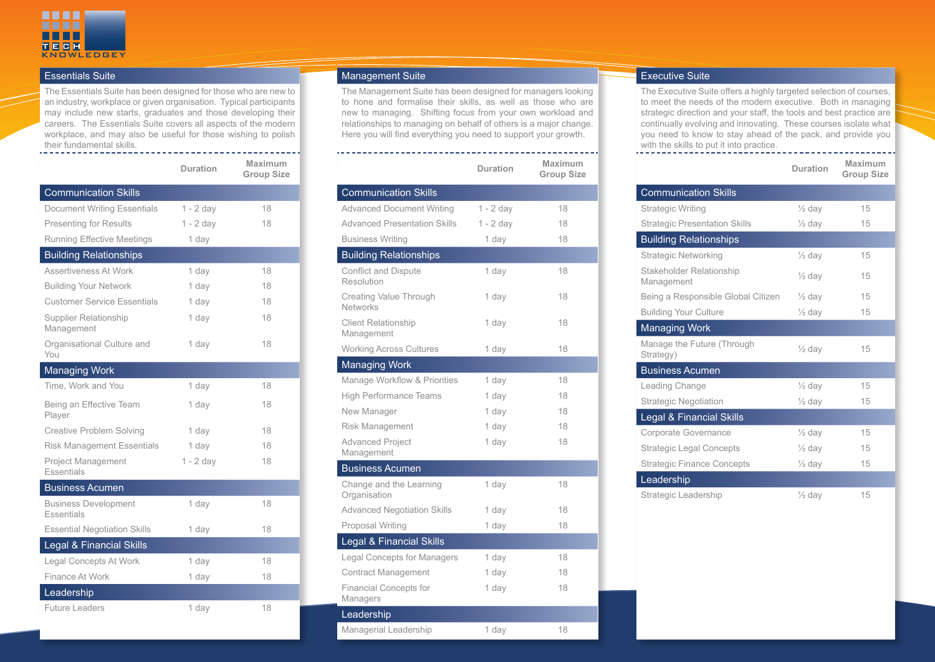

## Essentials Suite

The Essentials Suite has been designed for those who are new to an industry, workplace or given organisation. Typical participants may include new starts, graduates and those developing their careers. The Essentials Suite covers all aspects of the modern workplace, and may also be useful for those wishing to polish their fundamental skills.

|                                           | <b>Duration</b> | Maximum<br><b>Group Size</b> |
|-------------------------------------------|-----------------|------------------------------|
| <b>Communication Skills</b>               |                 |                              |
| <b>Document Writing Essentials</b>        | $1 - 2$ day     | 18                           |
| <b>Presenting for Results</b>             | $1 - 2$ day     | 18                           |
| <b>Running Effective Meetings</b>         | 1 day           |                              |
| <b>Building Relationships</b>             |                 |                              |
| Assertiveness At Work                     | 1 day           | 18                           |
| <b>Building Your Network</b>              | 1 day           | 18                           |
| <b>Customer Service Essentials</b>        | 1 day           | 18                           |
| Supplier Relationship<br>Management       | 1 day           | 18                           |
| Organisational Culture and<br>You         | 1 day           | 18                           |
| <b>Managing Work</b>                      |                 |                              |
| Time, Work and You                        | 1 day           | 18                           |
| Being an Effective Team<br>Player         | 1 day           | 18                           |
| Creative Problem Solving                  | 1 day           | 18                           |
| <b>Risk Management Essentials</b>         | 1 day           | 18                           |
| <b>Project Management</b><br>Essentials   | $1 - 2$ day     | 18                           |
| <b>Business Acumen</b>                    |                 |                              |
| <b>Business Development</b><br>Essentials | 1 day           | 18                           |
| <b>Essential Negotiation Skills</b>       | 1 day           | 18                           |
| Legal & Financial Skills                  |                 |                              |
| Legal Concepts At Work                    | 1 day           | 18                           |
| Finance At Work                           | 1 day           | 18                           |
| Leadership                                |                 |                              |
| <b>Future Leaders</b>                     | 1 day           | 18                           |

## Management Suite

The Management Suite has been designed for managers looking to hone and formalise their skills, as well as those who are new to managing. Shifting focus from your own workload and relationships to managing on behalf of others is a major change. Here you will find everything you need to support your growth.

|                                                  | <b>Duration</b> | Maximum<br><b>Group Size</b> |
|--------------------------------------------------|-----------------|------------------------------|
| <b>Communication Skills</b>                      |                 |                              |
| <b>Advanced Document Writing</b>                 | $1 - 2$ day     | 18                           |
| <b>Advanced Presentation Skills</b>              | $1 - 2$ day     | 18                           |
| <b>Business Writing</b>                          | 1 day           | 18                           |
| <b>Building Relationships</b>                    |                 |                              |
| Conflict and Dispute<br>Resolution               | 1 day           | 18                           |
| <b>Creating Value Through</b><br><b>Networks</b> | 1 day           | 18                           |
| <b>Client Relationship</b><br>Management         | 1 day           | 18                           |
| <b>Working Across Cultures</b>                   | 1 day           | 18                           |
| <b>Managing Work</b>                             |                 |                              |
| Manage Workflow & Priorities                     | 1 day           | 18                           |
| <b>High Performance Teams</b>                    | 1 day           | 18                           |
| New Manager                                      | 1 day           | 18                           |
| Risk Management                                  | 1 day           | 18                           |
| <b>Advanced Project</b><br>Management            | 1 day           | 18                           |
| <b>Business Acumen</b>                           |                 |                              |
| Change and the Learning<br>Organisation          | 1 day           | 18                           |
| <b>Advanced Negotiation Skills</b>               | 1 day           | 18                           |
| Proposal Writing                                 | 1 day           | 18                           |
| Legal & Financial Skills                         |                 |                              |
| <b>Legal Concepts for Managers</b>               | 1 day           | 18                           |
| <b>Contract Management</b>                       | 1 day           | 18                           |
| Financial Concepts for<br>Managers               | 1 day           | 18                           |
| Leadership                                       |                 |                              |
| Managerial Leadership                            | 1 day           | 18                           |

## Executive Suite

The Executive Suite offers a highly targeted selection of courses, to meet the needs of the modern executive. Both in managing strategic direction and your staff, the tools and best practice are continually evolving and innovating. These courses isolate what you need to know to stay ahead of the pack, and provide you with the skills to put it into practice.

|                                         | Duration          | Maximum<br><b>Group Size</b> |
|-----------------------------------------|-------------------|------------------------------|
| <b>Communication Skills</b>             |                   |                              |
| <b>Strategic Writing</b>                | $\frac{1}{2}$ day | 15                           |
| <b>Strategic Presentation Skills</b>    | $\frac{1}{2}$ day | 15                           |
| <b>Building Relationships</b>           |                   |                              |
| <b>Strategic Networking</b>             | $\frac{1}{2}$ day | 15                           |
| Stakeholder Relationship<br>Management  | $\frac{1}{2}$ day | 15                           |
| Being a Responsible Global Citizen      | $\frac{1}{2}$ day | 15                           |
| <b>Building Your Culture</b>            | $\frac{1}{2}$ day | 15                           |
| <b>Managing Work</b>                    |                   |                              |
| Manage the Future (Through<br>Strategy) | $\frac{1}{2}$ day | 15                           |
| <b>Business Acumen</b>                  |                   |                              |
| Leading Change                          | $\frac{1}{2}$ day | 15                           |
| <b>Strategic Negotiation</b>            | $\frac{1}{2}$ day | 15                           |
| Legal & Financial Skills                |                   |                              |
| Corporate Governance                    | $\frac{1}{2}$ day | 15                           |
| <b>Strategic Legal Concepts</b>         | $\frac{1}{2}$ day | 15                           |
| <b>Strategic Finance Concepts</b>       | $\frac{1}{2}$ day | 15                           |
| Leadership                              |                   |                              |
| Strategic Leadership                    | $\frac{1}{2}$ day | 15                           |